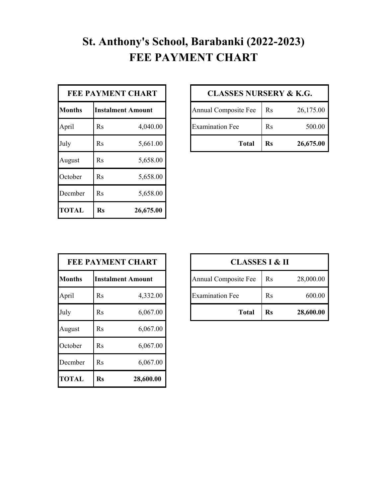## **St. Anthony's School, Barabanki (2022-2023) FEE PAYMENT CHART**

| <b>FEE PAYMENT CHART</b> |                          |           |  |  |
|--------------------------|--------------------------|-----------|--|--|
| <b>Months</b>            | <b>Instalment Amount</b> |           |  |  |
| April                    | Rs                       | 4,040.00  |  |  |
| July                     | $R_{S}$                  | 5,661.00  |  |  |
| August                   | $R_{S}$                  | 5,658.00  |  |  |
| October                  | $R_{S}$                  | 5,658.00  |  |  |
| Decmber                  | Rs                       | 5,658.00  |  |  |
| <b>TOTAL</b>             | Rs                       | 26,675.00 |  |  |

| FEE PAYMENT CHART | <b>CLASSES NURSERY &amp; K.G.</b> |
|-------------------|-----------------------------------|
|-------------------|-----------------------------------|

| <b>Months</b> | <b>Instalment Amount</b> |          | Annual Composite Fee   | Rs | 26,175.00 |
|---------------|--------------------------|----------|------------------------|----|-----------|
| April         | Rs                       | 4,040.00 | <b>Examination Fee</b> | Rs | 500.00    |
| July          | Rs                       | 5,661.00 | <b>Total</b>           | Rs | 26,675.00 |

| <b>FEE PAYMENT CHART</b> |           |                          |
|--------------------------|-----------|--------------------------|
| <b>Months</b>            |           | <b>Instalment Amount</b> |
| April                    | $\rm Rs$  | 4,332.00                 |
| July                     | $\rm Rs$  | 6,067.00                 |
| August                   | $\rm Rs$  | 6,067.00                 |
| October                  | Rs        | 6,067.00                 |
| Decmber                  | $\rm Rs$  | 6,067.00                 |
| <b>TOTAL</b>             | <b>Rs</b> | 28,600.00                |

| <b>FEE PAYMENT CHART</b> |                          | <b>CLASSES I &amp; II</b> |                        |           |           |
|--------------------------|--------------------------|---------------------------|------------------------|-----------|-----------|
| <b>Months</b>            | <b>Instalment Amount</b> |                           | Annual Composite Fee   | <b>Rs</b> | 28,000.00 |
| April                    | Rs                       | 4,332.00                  | <b>Examination Fee</b> | $\rm Rs$  | 600.00    |
| July                     | Rs                       | 6,067.00                  | <b>Total</b>           | Rs        | 28,600.00 |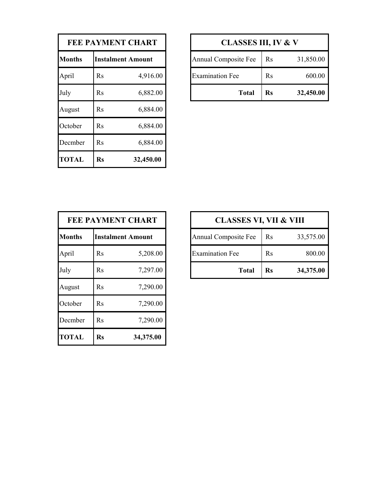| <b>FEE PAYMENT CHART</b> |                          |           |  |  |  |
|--------------------------|--------------------------|-----------|--|--|--|
| <b>Months</b>            | <b>Instalment Amount</b> |           |  |  |  |
| April                    | $R_{S}$                  | 4,916.00  |  |  |  |
| July                     | $R_{S}$                  | 6,882.00  |  |  |  |
| August                   | $R_{S}$                  | 6,884.00  |  |  |  |
| October                  | $R_{S}$                  | 6,884.00  |  |  |  |
| Decmber                  | $R_{S}$                  | 6,884.00  |  |  |  |
| <b>TOTAL</b>             | Rs                       | 32,450.00 |  |  |  |

| <b>FEE PAYMENT CHART</b> |                          | <b>CLASSES III, IV &amp; V</b> |                        |           |           |
|--------------------------|--------------------------|--------------------------------|------------------------|-----------|-----------|
| <b>Months</b>            | <b>Instalment Amount</b> |                                | Annual Composite Fee   | $\rm Rs$  | 31,850.00 |
| April                    | $\rm Rs$                 | 4,916.00                       | <b>Examination Fee</b> | <b>Rs</b> | 600.00    |
| July                     | $\rm Rs$                 | 6,882.00                       | <b>Total</b>           | Rs        | 32,450.00 |

| <b>FEE PAYMENT CHART</b> |                          |           |  |  |  |
|--------------------------|--------------------------|-----------|--|--|--|
| <b>Months</b>            | <b>Instalment Amount</b> |           |  |  |  |
| April                    | $R_{S}$                  | 5,208.00  |  |  |  |
| July                     | Rs                       | 7,297.00  |  |  |  |
| August                   | $R_{S}$                  | 7,290.00  |  |  |  |
| October                  | $R_{S}$                  | 7,290.00  |  |  |  |
| Decmber                  | $R_{S}$                  | 7,290.00  |  |  |  |
| <b>TOTAL</b>             | Rs                       | 34,375.00 |  |  |  |

| <b>FEE PAYMENT CHART</b> |    | <b>CLASSES VI, VII &amp; VIII</b> |                        |            |           |
|--------------------------|----|-----------------------------------|------------------------|------------|-----------|
| <b>Months</b>            |    | <b>Instalment Amount</b>          | Annual Composite Fee   | <b>Rs</b>  | 33,575.00 |
| April                    | Rs | 5,208.00                          | <b>Examination Fee</b> | <b>R</b> s | 800.00    |
| July                     | Rs | 7,297.00                          | <b>Total</b>           | Rs         | 34,375.00 |